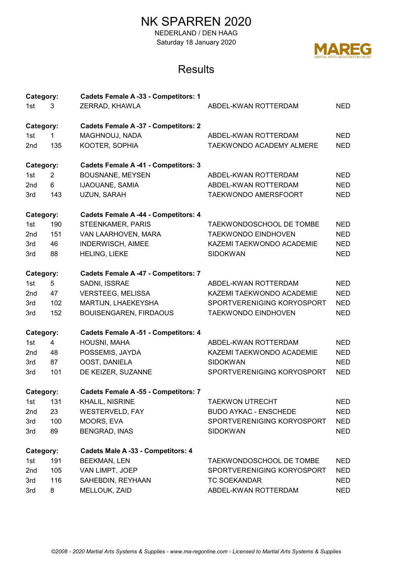NEDERLAND / DEN HAAG Saturday 18 January 2020



| Category: |                | <b>Cadets Female A -33 - Competitors: 1</b> |                              |            |
|-----------|----------------|---------------------------------------------|------------------------------|------------|
| 1st<br>3  |                | ZERRAD, KHAWLA                              | ABDEL-KWAN ROTTERDAM         | <b>NED</b> |
| Category: |                | <b>Cadets Female A -37 - Competitors: 2</b> |                              |            |
| 1st       | $\mathbf{1}$   | MAGHNOUJ, NADA                              | ABDEL-KWAN ROTTERDAM         | <b>NED</b> |
| 2nd       | 135            | KOOTER, SOPHIA                              | TAEKWONDO ACADEMY ALMERE     | <b>NED</b> |
| Category: |                | <b>Cadets Female A -41 - Competitors: 3</b> |                              |            |
| 1st       | $\overline{2}$ | <b>BOUSNANE, MEYSEN</b>                     | ABDEL-KWAN ROTTERDAM         | <b>NED</b> |
| 2nd       | 6              | <b>IJAOUANE, SAMIA</b>                      | ABDEL-KWAN ROTTERDAM         | <b>NED</b> |
| 3rd       | 143            | UZUN, SARAH                                 | TAEKWONDO AMERSFOORT         | <b>NED</b> |
| Category: |                | Cadets Female A -44 - Competitors: 4        |                              |            |
| 1st       | 190            | STEENKAMER, PARIS                           | TAEKWONDOSCHOOL DE TOMBE     | <b>NED</b> |
| 2nd       | 151            | VAN LAARHOVEN, MARA                         | <b>TAEKWONDO EINDHOVEN</b>   | <b>NED</b> |
| 3rd       | 46             | INDERWISCH, AIMEE                           | KAZEMI TAEKWONDO ACADEMIE    | <b>NED</b> |
| 3rd       | 88             | HELING, LIEKE                               | <b>SIDOKWAN</b>              | <b>NED</b> |
| Category: |                | <b>Cadets Female A -47 - Competitors: 7</b> |                              |            |
| 1st       | 5              | SADNI, ISSRAE                               | ABDEL-KWAN ROTTERDAM         | <b>NED</b> |
| 2nd       | 47             | <b>VERSTEEG, MELISSA</b>                    | KAZEMI TAEKWONDO ACADEMIE    | <b>NED</b> |
| 3rd       | 102            | MARTIJN, LHAEKEYSHA                         | SPORTVERENIGING KORYOSPORT   | <b>NED</b> |
| 3rd       | 152            | BOUISENGAREN, FIRDAOUS                      | <b>TAEKWONDO EINDHOVEN</b>   | <b>NED</b> |
| Category: |                | <b>Cadets Female A-51 - Competitors: 4</b>  |                              |            |
| 1st       | 4              | HOUSNI, MAHA                                | ABDEL-KWAN ROTTERDAM         | <b>NED</b> |
| 2nd       | 48             | POSSEMIS, JAYDA                             | KAZEMI TAEKWONDO ACADEMIE    | <b>NED</b> |
| 3rd       | 87             | OOST, DANIELA                               | <b>SIDOKWAN</b>              | <b>NED</b> |
| 3rd       | 101            | DE KEIZER, SUZANNE                          | SPORTVERENIGING KORYOSPORT   | <b>NED</b> |
| Category: |                | <b>Cadets Female A -55 - Competitors: 7</b> |                              |            |
| 1st       | 131            | KHALIL, NISRINE                             | <b>TAEKWON UTRECHT</b>       | <b>NED</b> |
| 2nd       | 23             | <b>WESTERVELD, FAY</b>                      | <b>BUDO AYKAC - ENSCHEDE</b> | NED        |
| 3rd       | 100            | MOORS, EVA                                  | SPORTVERENIGING KORYOSPORT   | NED        |
| 3rd       | 89             | <b>BENGRAD, INAS</b>                        | <b>SIDOKWAN</b>              | <b>NED</b> |
| Category: |                | Cadets Male A -33 - Competitors: 4          |                              |            |
| 1st       | 191            | <b>BEEKMAN, LEN</b>                         | TAEKWONDOSCHOOL DE TOMBE     | <b>NED</b> |
| 2nd       | 105            | VAN LIMPT, JOEP                             | SPORTVERENIGING KORYOSPORT   | <b>NED</b> |
| 3rd       | 116            | SAHEBDIN, REYHAAN                           | <b>TC SOEKANDAR</b>          | <b>NED</b> |
| 3rd       | 8              | MELLOUK, ZAID                               | ABDEL-KWAN ROTTERDAM         | <b>NED</b> |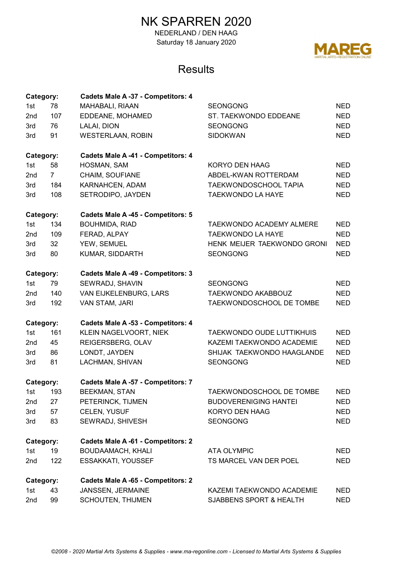NEDERLAND / DEN HAAG Saturday 18 January 2020



| Category: |                | Cadets Male A -37 - Competitors: 4        |                                 |            |
|-----------|----------------|-------------------------------------------|---------------------------------|------------|
| 1st       | 78             | MAHABALI, RIAAN                           | <b>SEONGONG</b>                 |            |
| 2nd       | 107            | EDDEANE, MOHAMED                          | ST. TAEKWONDO EDDEANE           | <b>NED</b> |
| 3rd       | 76             | LALAI, DION                               | <b>SEONGONG</b>                 | <b>NED</b> |
| 3rd       | 91             | <b>WESTERLAAN, ROBIN</b>                  | <b>SIDOKWAN</b>                 | <b>NED</b> |
| Category: |                | Cadets Male A -41 - Competitors: 4        |                                 |            |
| 1st       | 58             | HOSMAN, SAM                               | KORYO DEN HAAG                  | <b>NED</b> |
| 2nd       | 7 <sup>7</sup> | CHAIM, SOUFIANE                           | ABDEL-KWAN ROTTERDAM            | NED.       |
| 3rd       | 184            | KARNAHCEN, ADAM                           | TAEKWONDOSCHOOL TAPIA           | <b>NED</b> |
| 3rd       | 108            | SETRODIPO, JAYDEN                         | TAEKWONDO LA HAYE               | <b>NED</b> |
| Category: |                | <b>Cadets Male A-45 - Competitors: 5</b>  |                                 |            |
| 1st       | 134            | BOUHMIDA, RIAD                            | <b>TAEKWONDO ACADEMY ALMERE</b> | <b>NED</b> |
| 2nd       | 109            | FERAD, ALPAY                              | <b>TAEKWONDO LA HAYE</b>        | <b>NED</b> |
| 3rd       | 32             | YEW, SEMUEL                               | HENK MEIJER TAEKWONDO GRONI     | <b>NED</b> |
| 3rd       | 80             | KUMAR, SIDDARTH                           | <b>SEONGONG</b>                 | <b>NED</b> |
| Category: |                | <b>Cadets Male A-49 - Competitors: 3</b>  |                                 |            |
| 1st       | 79             | SEWRADJ, SHAVIN                           | <b>SEONGONG</b>                 | <b>NED</b> |
| 2nd       | 140            | VAN EIJKELENBURG, LARS                    | TAEKWONDO AKABBOUZ              | <b>NED</b> |
| 3rd       | 192            | VAN STAM, JARI                            | TAEKWONDOSCHOOL DE TOMBE        | <b>NED</b> |
| Category: |                | Cadets Male A -53 - Competitors: 4        |                                 |            |
| 1st       | 161            | KLEIN NAGELVOORT, NIEK                    | TAEKWONDO OUDE LUTTIKHUIS       | <b>NED</b> |
| 2nd       | 45             | REIGERSBERG, OLAV                         | KAZEMI TAEKWONDO ACADEMIE       | <b>NED</b> |
| 3rd       | 86             | LONDT, JAYDEN                             | SHIJAK TAEKWONDO HAAGLANDE      | <b>NED</b> |
| 3rd       | 81             | LACHMAN, SHIVAN                           | <b>SEONGONG</b>                 | <b>NED</b> |
| Category: |                | Cadets Male A -57 - Competitors: 7        |                                 |            |
| 1st       | 193            | <b>BEEKMAN, STAN</b>                      | TAEKWONDOSCHOOL DE TOMBE        | <b>NED</b> |
| 2nd       | 27             | PETERINCK, TIJMEN                         | <b>BUDOVERENIGING HANTEI</b>    | <b>NED</b> |
| 3rd       | 57             | CELEN, YUSUF                              | KORYO DEN HAAG                  | <b>NED</b> |
| 3rd       | 83             | SEWRADJ, SHIVESH                          | <b>SEONGONG</b>                 | <b>NED</b> |
| Category: |                | <b>Cadets Male A-61 - Competitors: 2</b>  |                                 |            |
| 1st       | 19             | <b>BOUDAAMACH, KHALI</b>                  | <b>ATA OLYMPIC</b>              | <b>NED</b> |
| 2nd       | 122            | ESSAKKATI, YOUSSEF                        | TS MARCEL VAN DER POEL          | <b>NED</b> |
| Category: |                | <b>Cadets Male A -65 - Competitors: 2</b> |                                 |            |
| 1st       | 43             | JANSSEN, JERMAINE                         | KAZEMI TAEKWONDO ACADEMIE       | NED        |
| 2nd       | 99             | <b>SCHOUTEN, THIJMEN</b>                  | SJABBENS SPORT & HEALTH         | <b>NED</b> |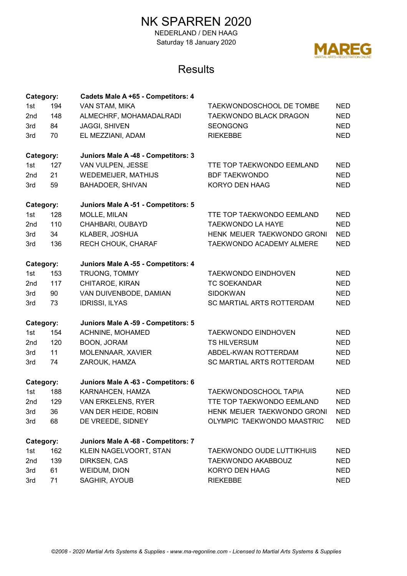NEDERLAND / DEN HAAG Saturday 18 January 2020



| Category: |     | Cadets Male A +65 - Competitors: 4  |                                 |            |
|-----------|-----|-------------------------------------|---------------------------------|------------|
| 1st       | 194 | VAN STAM, MIKA                      | <b>TAEKWONDOSCHOOL DE TOMBE</b> | <b>NED</b> |
| 2nd       | 148 | ALMECHRF, MOHAMADALRADI             | TAEKWONDO BLACK DRAGON          | <b>NED</b> |
| 3rd       | 84  | <b>JAGGI, SHIVEN</b>                | <b>SEONGONG</b>                 | <b>NED</b> |
| 3rd       | 70  | EL MEZZIANI, ADAM                   | <b>RIEKEBBE</b>                 | <b>NED</b> |
| Category: |     | Juniors Male A -48 - Competitors: 3 |                                 |            |
| 1st       | 127 | VAN VULPEN, JESSE                   | TTE TOP TAEKWONDO EEMLAND       | <b>NED</b> |
| 2nd       | 21  | <b>WEDEMEIJER, MATHIJS</b>          | <b>BDF TAEKWONDO</b>            | <b>NED</b> |
| 3rd       | 59  | BAHADOER, SHIVAN                    | KORYO DEN HAAG                  | <b>NED</b> |
| Category: |     | Juniors Male A -51 - Competitors: 5 |                                 |            |
| 1st       | 128 | MOLLE, MILAN                        | TTE TOP TAEKWONDO EEMLAND       | <b>NED</b> |
| 2nd       | 110 | CHAHBARI, OUBAYD                    | <b>TAEKWONDO LA HAYE</b>        | <b>NED</b> |
| 3rd       | 34  | KLABER, JOSHUA                      | HENK MEIJER TAEKWONDO GRONI     | <b>NED</b> |
| 3rd       | 136 | RECH CHOUK, CHARAF                  | TAEKWONDO ACADEMY ALMERE        | <b>NED</b> |
| Category: |     | Juniors Male A -55 - Competitors: 4 |                                 |            |
| 1st       | 153 | TRUONG, TOMMY                       | <b>TAEKWONDO EINDHOVEN</b>      | <b>NED</b> |
| 2nd       | 117 | CHITAROE, KIRAN                     | <b>TC SOEKANDAR</b>             | <b>NED</b> |
| 3rd       | 90  | VAN DUIVENBODE, DAMIAN              | <b>SIDOKWAN</b>                 | <b>NED</b> |
| 3rd       | 73  | <b>IDRISSI, ILYAS</b>               | SC MARTIAL ARTS ROTTERDAM       | <b>NED</b> |
| Category: |     | Juniors Male A -59 - Competitors: 5 |                                 |            |
| 1st       | 154 | ACHNINE, MOHAMED                    | <b>TAEKWONDO EINDHOVEN</b>      | <b>NED</b> |
| 2nd       | 120 | BOON, JORAM                         | <b>TS HILVERSUM</b>             | <b>NED</b> |
| 3rd       | 11  | MOLENNAAR, XAVIER                   | ABDEL-KWAN ROTTERDAM            | <b>NED</b> |
| 3rd       | 74  | ZAROUK, HAMZA                       | SC MARTIAL ARTS ROTTERDAM       | <b>NED</b> |
| Category: |     | Juniors Male A -63 - Competitors: 6 |                                 |            |
| 1st       | 188 | KARNAHCEN, HAMZA                    | <b>TAEKWONDOSCHOOL TAPIA</b>    | NED.       |
| 2nd       | 129 | VAN ERKELENS, RYER                  | TTE TOP TAEKWONDO EEMLAND       | NED.       |
| 3rd       | 36  | VAN DER HEIDE, ROBIN                | HENK MEIJER TAEKWONDO GRONI     | <b>NED</b> |
| 3rd       | 68  | DE VREEDE, SIDNEY                   | OLYMPIC TAEKWONDO MAASTRIC      | <b>NED</b> |
| Category: |     | Juniors Male A -68 - Competitors: 7 |                                 |            |
| 1st       | 162 | KLEIN NAGELVOORT, STAN              | TAEKWONDO OUDE LUTTIKHUIS       | <b>NED</b> |
| 2nd       | 139 | DIRKSEN, CAS                        | TAEKWONDO AKABBOUZ              | <b>NED</b> |
| 3rd       | 61  | WEIDUM, DION                        | KORYO DEN HAAG                  | <b>NED</b> |
| 3rd       | 71  | SAGHIR, AYOUB                       | <b>RIEKEBBE</b>                 | <b>NED</b> |
|           |     |                                     |                                 |            |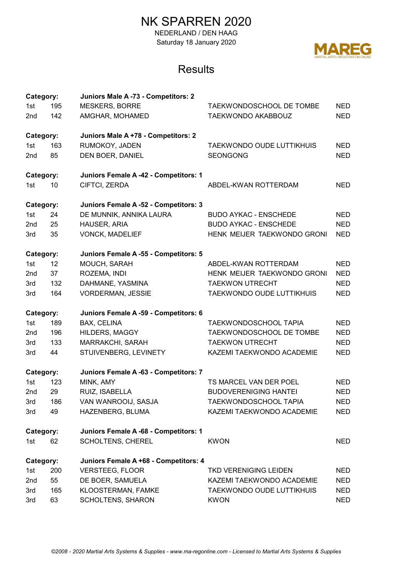NEDERLAND / DEN HAAG Saturday 18 January 2020



| Category:       |     | Juniors Male A -73 - Competitors: 2   |                                  |            |
|-----------------|-----|---------------------------------------|----------------------------------|------------|
| 1st             | 195 | <b>MESKERS, BORRE</b>                 | <b>TAEKWONDOSCHOOL DE TOMBE</b>  | <b>NED</b> |
| 2nd             | 142 | AMGHAR, MOHAMED                       | <b>TAEKWONDO AKABBOUZ</b>        | <b>NED</b> |
| Category:       |     | Juniors Male A +78 - Competitors: 2   |                                  |            |
| 1st             | 163 | RUMOKOY, JADEN                        | <b>TAEKWONDO OUDE LUTTIKHUIS</b> | <b>NED</b> |
| 2nd             | 85  | DEN BOER, DANIEL                      | <b>SEONGONG</b>                  | <b>NED</b> |
| Category:       |     | Juniors Female A -42 - Competitors: 1 |                                  |            |
| 1st             | 10  | CIFTCI, ZERDA                         | ABDEL-KWAN ROTTERDAM             | <b>NED</b> |
| Category:       |     | Juniors Female A -52 - Competitors: 3 |                                  |            |
| 1st             | 24  | DE MUNNIK, ANNIKA LAURA               | <b>BUDO AYKAC - ENSCHEDE</b>     | <b>NED</b> |
| 2nd             | 25  | HAUSER, ARIA                          | <b>BUDO AYKAC - ENSCHEDE</b>     | <b>NED</b> |
| 3rd             | 35  | <b>VONCK, MADELIEF</b>                | HENK MEIJER TAEKWONDO GRONI      | <b>NED</b> |
| Category:       |     | Juniors Female A -55 - Competitors: 5 |                                  |            |
| 1st             | 12  | MOUCH, SARAH                          | ABDEL-KWAN ROTTERDAM             | <b>NED</b> |
| 2nd             | 37  | ROZEMA, INDI                          | HENK MEIJER TAEKWONDO GRONI      | <b>NED</b> |
| 3rd             | 132 | DAHMANE, YASMINA                      | <b>TAEKWON UTRECHT</b>           | <b>NED</b> |
| 3rd             | 164 | <b>VORDERMAN, JESSIE</b>              | TAEKWONDO OUDE LUTTIKHUIS        | <b>NED</b> |
| Category:       |     | Juniors Female A -59 - Competitors: 6 |                                  |            |
| 1st             | 189 | BAX, CELINA                           | <b>TAEKWONDOSCHOOL TAPIA</b>     | <b>NED</b> |
| 2 <sub>nd</sub> | 196 | <b>HILDERS, MAGGY</b>                 | TAEKWONDOSCHOOL DE TOMBE         | <b>NED</b> |
| 3rd             | 133 | MARRAKCHI, SARAH                      | <b>TAEKWON UTRECHT</b>           | <b>NED</b> |
| 3rd             | 44  | STUIVENBERG, LEVINETY                 | KAZEMI TAEKWONDO ACADEMIE        | <b>NED</b> |
| Category:       |     | Juniors Female A -63 - Competitors: 7 |                                  |            |
| 1st             | 123 | MINK, AMY                             | TS MARCEL VAN DER POEL           | <b>NED</b> |
| 2nd             | 29  | RUIZ, ISABELLA                        | <b>BUDOVERENIGING HANTEI</b>     | <b>NED</b> |
| 3rd             | 186 | VAN WANROOIJ, SASJA                   | TAEKWONDOSCHOOL TAPIA            | <b>NED</b> |
| 3rd             | 49  | HAZENBERG, BLUMA                      | KAZEMI TAEKWONDO ACADEMIE        | <b>NED</b> |
| Category:       |     | Juniors Female A -68 - Competitors: 1 |                                  |            |
| 1st             | 62  | SCHOLTENS, CHEREL                     | <b>KWON</b>                      | <b>NED</b> |
| Category:       |     | Juniors Female A +68 - Competitors: 4 |                                  |            |
| 1st             | 200 | <b>VERSTEEG, FLOOR</b>                | <b>TKD VERENIGING LEIDEN</b>     | <b>NED</b> |
| 2nd             | 55  | DE BOER, SAMUELA                      | KAZEMI TAEKWONDO ACADEMIE        | <b>NED</b> |
| 3rd             | 165 | KLOOSTERMAN, FAMKE                    | TAEKWONDO OUDE LUTTIKHUIS        | <b>NED</b> |
| 3rd             | 63  | <b>SCHOLTENS, SHARON</b>              | <b>KWON</b>                      | <b>NED</b> |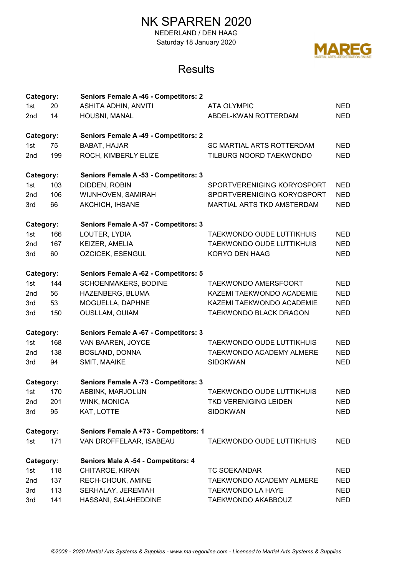NEDERLAND / DEN HAAG Saturday 18 January 2020



| Category: |     | Seniors Female A -46 - Competitors: 2 |                                  |            |  |
|-----------|-----|---------------------------------------|----------------------------------|------------|--|
| 1st       | 20  | <b>ASHITA ADHIN, ANVITI</b>           | <b>ATA OLYMPIC</b>               |            |  |
| 2nd       | 14  | HOUSNI, MANAL                         | ABDEL-KWAN ROTTERDAM             | <b>NED</b> |  |
| Category: |     | Seniors Female A -49 - Competitors: 2 |                                  |            |  |
| 1st       | 75  | BABAT, HAJAR                          | <b>SC MARTIAL ARTS ROTTERDAM</b> | <b>NED</b> |  |
| 2nd       | 199 | ROCH, KIMBERLY ELIZE                  | TILBURG NOORD TAEKWONDO          | <b>NED</b> |  |
| Category: |     | Seniors Female A -53 - Competitors: 3 |                                  |            |  |
| 1st       | 103 | DIDDEN, ROBIN                         | SPORTVERENIGING KORYOSPORT       | <b>NED</b> |  |
| 2nd       | 106 | WIJNHOVEN, SAMIRAH                    | SPORTVERENIGING KORYOSPORT       | <b>NED</b> |  |
| 3rd       | 66  | AKCHICH, IHSANE                       | MARTIAL ARTS TKD AMSTERDAM       | <b>NED</b> |  |
| Category: |     | Seniors Female A -57 - Competitors: 3 |                                  |            |  |
| 1st       | 166 | LOUTER, LYDIA                         | TAEKWONDO OUDE LUTTIKHUIS        | <b>NED</b> |  |
| 2nd       | 167 | KEIZER, AMELIA                        | <b>TAEKWONDO OUDE LUTTIKHUIS</b> | <b>NED</b> |  |
| 3rd       | 60  | <b>OZCICEK, ESENGUL</b>               | KORYO DEN HAAG                   | <b>NED</b> |  |
| Category: |     | Seniors Female A -62 - Competitors: 5 |                                  |            |  |
| 1st       | 144 | SCHOENMAKERS, BODINE                  | <b>TAEKWONDO AMERSFOORT</b>      | <b>NED</b> |  |
| 2nd       | 56  | HAZENBERG, BLUMA                      | KAZEMI TAEKWONDO ACADEMIE        | <b>NED</b> |  |
| 3rd       | 53  | MOGUELLA, DAPHNE                      | KAZEMI TAEKWONDO ACADEMIE        | <b>NED</b> |  |
| 3rd       | 150 | <b>OUSLLAM, OUIAM</b>                 | TAEKWONDO BLACK DRAGON           | <b>NED</b> |  |
| Category: |     | Seniors Female A -67 - Competitors: 3 |                                  |            |  |
| 1st       | 168 | VAN BAAREN, JOYCE                     | TAEKWONDO OUDE LUTTIKHUIS        | <b>NED</b> |  |
| 2nd       | 138 | <b>BOSLAND, DONNA</b>                 | TAEKWONDO ACADEMY ALMERE         | <b>NED</b> |  |
| 3rd       | 94  | SMIT, MAAIKE                          | <b>SIDOKWAN</b>                  | <b>NED</b> |  |
| Category: |     | Seniors Female A -73 - Competitors: 3 |                                  |            |  |
| 1st       | 170 | ABBINK, MARJOLIJN                     | <b>TAEKWONDO OUDE LUTTIKHUIS</b> | <b>NED</b> |  |
| 2nd       | 201 | WINK, MONICA                          | TKD VERENIGING LEIDEN            | NED.       |  |
| 3rd       | 95  | KAT, LOTTE                            | <b>SIDOKWAN</b>                  | <b>NED</b> |  |
| Category: |     | Seniors Female A +73 - Competitors: 1 |                                  |            |  |
| 1st       | 171 | VAN DROFFELAAR, ISABEAU               | <b>TAEKWONDO OUDE LUTTIKHUIS</b> | NED.       |  |
| Category: |     | Seniors Male A -54 - Competitors: 4   |                                  |            |  |
| 1st       | 118 | CHITAROE, KIRAN                       | <b>TC SOEKANDAR</b>              | <b>NED</b> |  |
| 2nd       | 137 | RECH-CHOUK, AMINE                     | TAEKWONDO ACADEMY ALMERE         | <b>NED</b> |  |
| 3rd       | 113 | SERHALAY, JEREMIAH                    | <b>TAEKWONDO LA HAYE</b>         | <b>NED</b> |  |
| 3rd       | 141 | HASSANI, SALAHEDDINE                  | TAEKWONDO AKABBOUZ               | <b>NED</b> |  |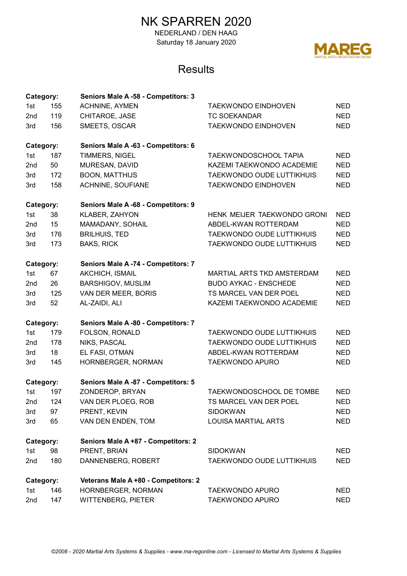NEDERLAND / DEN HAAG Saturday 18 January 2020



| Category: |     | Seniors Male A -58 - Competitors: 3  |                                  |            |
|-----------|-----|--------------------------------------|----------------------------------|------------|
| 1st       | 155 | <b>ACHNINE, AYMEN</b>                | <b>TAEKWONDO EINDHOVEN</b>       | <b>NED</b> |
| 2nd       | 119 | CHITAROE, JASE                       | <b>TC SOEKANDAR</b>              | <b>NED</b> |
| 3rd       | 156 | SMEETS, OSCAR                        | <b>TAEKWONDO EINDHOVEN</b>       | <b>NED</b> |
| Category: |     | Seniors Male A -63 - Competitors: 6  |                                  |            |
| 1st       | 187 | TIMMERS, NIGEL                       | <b>TAEKWONDOSCHOOL TAPIA</b>     | <b>NED</b> |
| 2nd       | 50  | MURESAN, DAVID                       | KAZEMI TAEKWONDO ACADEMIE        | <b>NED</b> |
| 3rd       | 172 | <b>BOON, MATTHIJS</b>                | TAEKWONDO OUDE LUTTIKHUIS        | <b>NED</b> |
| 3rd       | 158 | ACHNINE, SOUFIANE                    | <b>TAEKWONDO EINDHOVEN</b>       | <b>NED</b> |
| Category: |     | Seniors Male A -68 - Competitors: 9  |                                  |            |
| 1st       | 38  | KLABER, ZAHYON                       | HENK MEIJER TAEKWONDO GRONI      | <b>NED</b> |
| 2nd       | 15  | MAMADANY, SOHAIL                     | ABDEL-KWAN ROTTERDAM             | <b>NED</b> |
| 3rd       | 176 | <b>BRILHUIS, TED</b>                 | <b>TAEKWONDO OUDE LUTTIKHUIS</b> | <b>NED</b> |
| 3rd       | 173 | <b>BAKS, RICK</b>                    | TAEKWONDO OUDE LUTTIKHUIS        | <b>NED</b> |
| Category: |     | Seniors Male A -74 - Competitors: 7  |                                  |            |
| 1st       | 67  | <b>AKCHICH, ISMAIL</b>               | MARTIAL ARTS TKD AMSTERDAM       | <b>NED</b> |
| 2nd       | 26  | <b>BARSHIGOV, MUSLIM</b>             | <b>BUDO AYKAC - ENSCHEDE</b>     | <b>NED</b> |
| 3rd       | 125 | VAN DER MEER, BORIS                  | TS MARCEL VAN DER POEL           | <b>NED</b> |
| 3rd       | 52  | AL-ZAIDI, ALI                        | KAZEMI TAEKWONDO ACADEMIE        | <b>NED</b> |
| Category: |     | Seniors Male A -80 - Competitors: 7  |                                  |            |
| 1st       | 179 | FOLSON, RONALD                       | <b>TAEKWONDO OUDE LUTTIKHUIS</b> | <b>NED</b> |
| 2nd       | 178 | NIKS, PASCAL                         | TAEKWONDO OUDE LUTTIKHUIS        | <b>NED</b> |
| 3rd       | 18  | EL FASI, OTMAN                       | ABDEL-KWAN ROTTERDAM             | <b>NED</b> |
| 3rd       | 145 | HORNBERGER, NORMAN                   | <b>TAEKWONDO APURO</b>           | <b>NED</b> |
| Category: |     | Seniors Male A -87 - Competitors: 5  |                                  |            |
| 1st       | 197 | ZONDEROP, BRYAN                      | <b>TAEKWONDOSCHOOL DE TOMBE</b>  | <b>NED</b> |
| 2nd       | 124 | VAN DER PLOEG, ROB                   | TS MARCEL VAN DER POEL           | NED.       |
| 3rd       | 97  | PRENT, KEVIN                         | <b>SIDOKWAN</b>                  | <b>NED</b> |
| 3rd       | 65  | VAN DEN ENDEN, TOM                   | <b>LOUISA MARTIAL ARTS</b>       | <b>NED</b> |
| Category: |     | Seniors Male A +87 - Competitors: 2  |                                  |            |
| 1st       | 98  | PRENT, BRIAN                         | <b>SIDOKWAN</b>                  | <b>NED</b> |
| 2nd       | 180 | DANNENBERG, ROBERT                   | <b>TAEKWONDO OUDE LUTTIKHUIS</b> | <b>NED</b> |
| Category: |     | Veterans Male A +80 - Competitors: 2 |                                  |            |
| 1st       | 146 | HORNBERGER, NORMAN                   | <b>TAEKWONDO APURO</b>           | <b>NED</b> |
| 2nd       | 147 | <b>WITTENBERG, PIETER</b>            | <b>TAEKWONDO APURO</b>           | <b>NED</b> |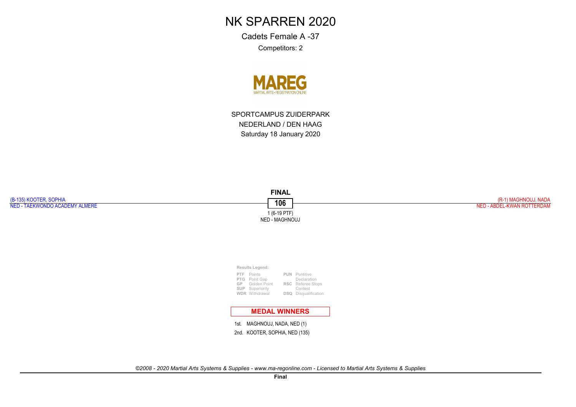Cadets Female A -37Competitors: 2



SPORTCAMPUS ZUIDERPARKNEDERLAND / DEN HAAGSaturday 18 January 2020

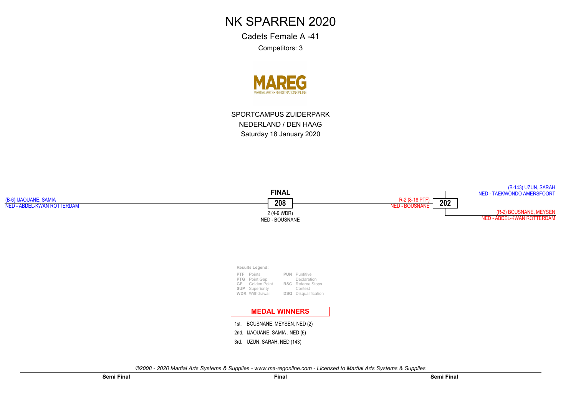Cadets Female A -41Competitors: 3



SPORTCAMPUS ZUIDERPARKNEDERLAND / DEN HAAGSaturday 18 January 2020

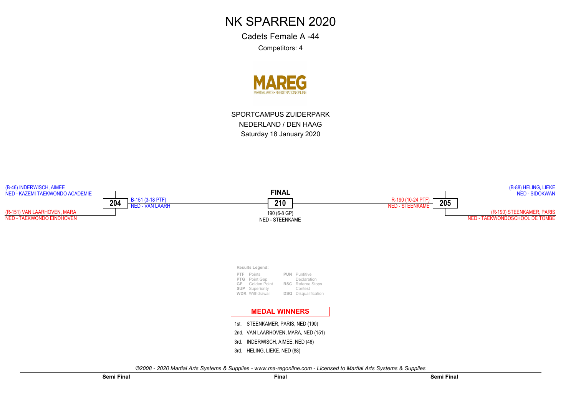Cadets Female A -44Competitors: 4



SPORTCAMPUS ZUIDERPARKNEDERLAND / DEN HAAGSaturday 18 January 2020

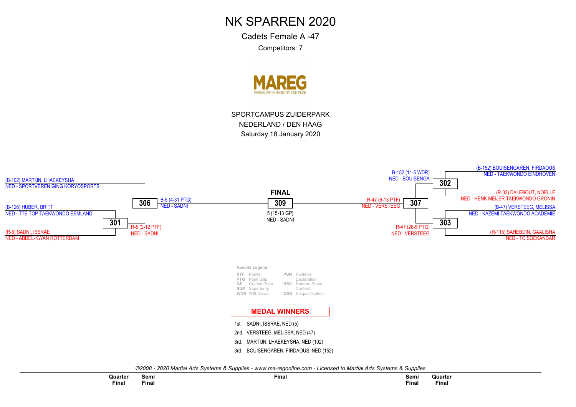Cadets Female A -47Competitors: 7



SPORTCAMPUS ZUIDERPARKNEDERLAND / DEN HAAGSaturday 18 January 2020

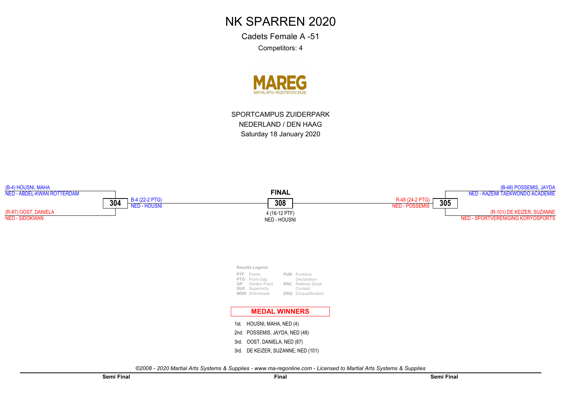Cadets Female A -51Competitors: 4



SPORTCAMPUS ZUIDERPARKNEDERLAND / DEN HAAGSaturday 18 January 2020

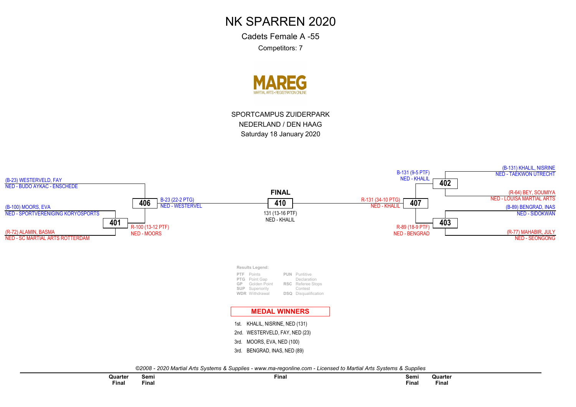Cadets Female A -55Competitors: 7



SPORTCAMPUS ZUIDERPARKNEDERLAND / DEN HAAGSaturday 18 January 2020

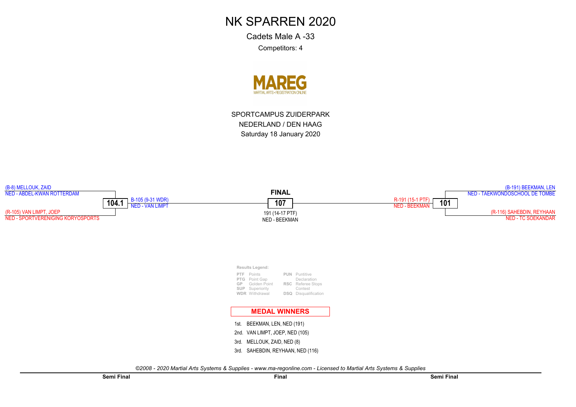Cadets Male A -33Competitors: 4



SPORTCAMPUS ZUIDERPARKNEDERLAND / DEN HAAGSaturday 18 January 2020

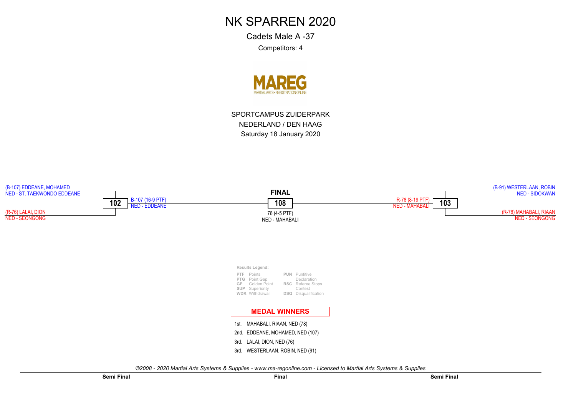Cadets Male A -37Competitors: 4



SPORTCAMPUS ZUIDERPARKNEDERLAND / DEN HAAGSaturday 18 January 2020

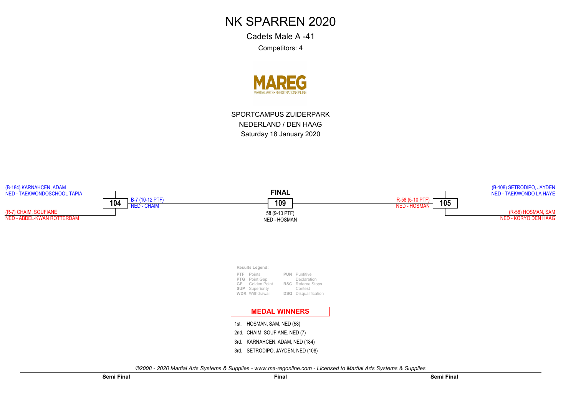Cadets Male A -41Competitors: 4



SPORTCAMPUS ZUIDERPARKNEDERLAND / DEN HAAGSaturday 18 January 2020

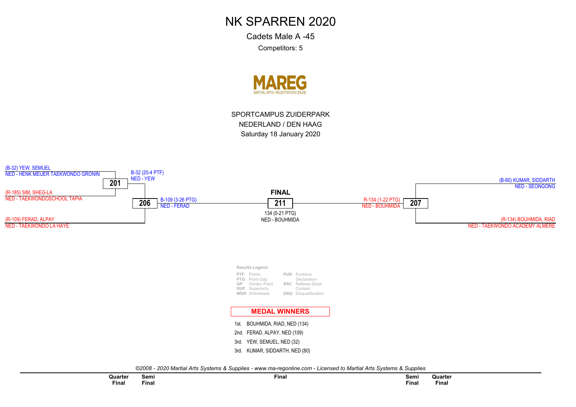Cadets Male A -45Competitors: 5



SPORTCAMPUS ZUIDERPARKNEDERLAND / DEN HAAGSaturday 18 January 2020

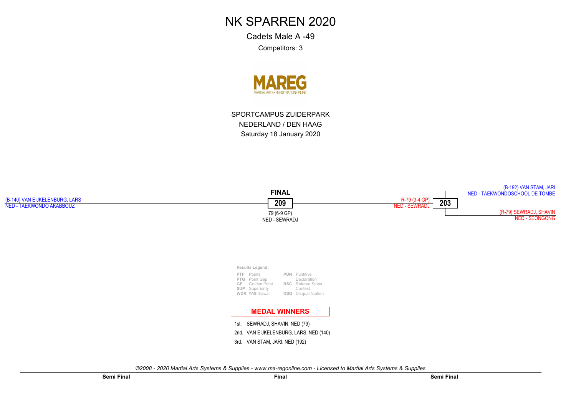Cadets Male A -49Competitors: 3



SPORTCAMPUS ZUIDERPARKNEDERLAND / DEN HAAGSaturday 18 January 2020

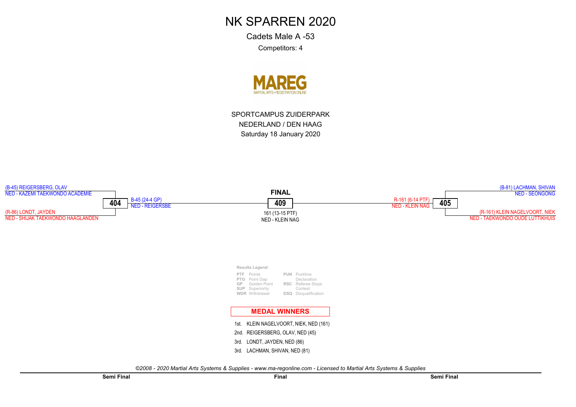Cadets Male A -53Competitors: 4



SPORTCAMPUS ZUIDERPARKNEDERLAND / DEN HAAGSaturday 18 January 2020

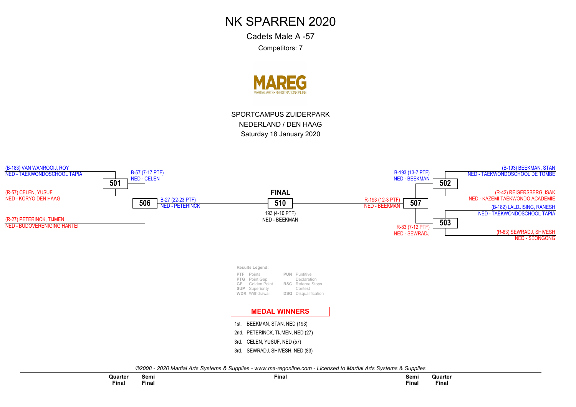Cadets Male A -57Competitors: 7



SPORTCAMPUS ZUIDERPARKNEDERLAND / DEN HAAGSaturday 18 January 2020

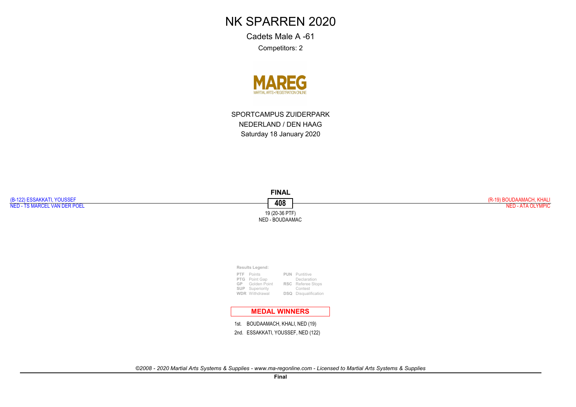Cadets Male A -61Competitors: 2



SPORTCAMPUS ZUIDERPARKNEDERLAND / DEN HAAGSaturday 18 January 2020

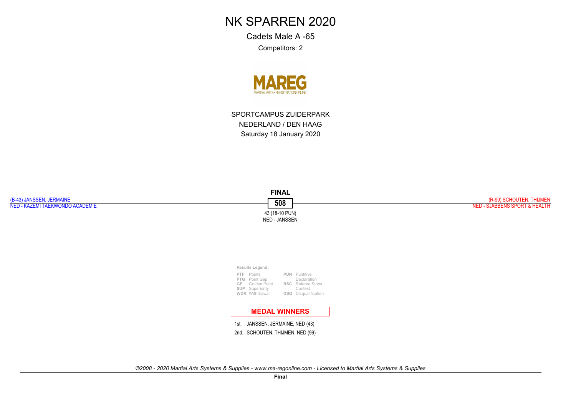Cadets Male A -65Competitors: 2



SPORTCAMPUS ZUIDERPARKNEDERLAND / DEN HAAGSaturday 18 January 2020

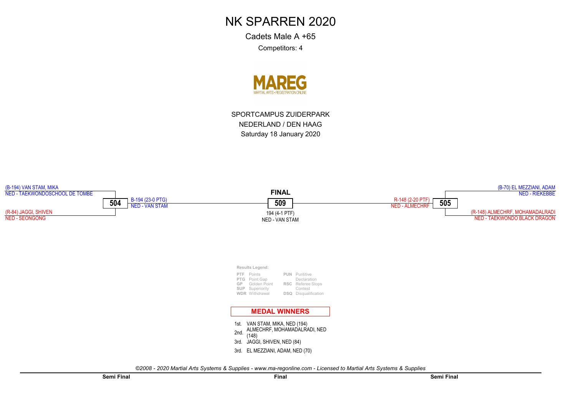Cadets Male A +65Competitors: 4



SPORTCAMPUS ZUIDERPARKNEDERLAND / DEN HAAGSaturday 18 January 2020

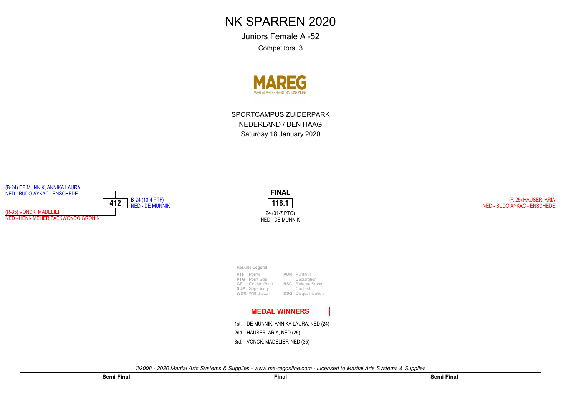Juniors Female A -52Competitors: 3



SPORTCAMPUS ZUIDERPARKNEDERLAND / DEN HAAGSaturday 18 January 2020

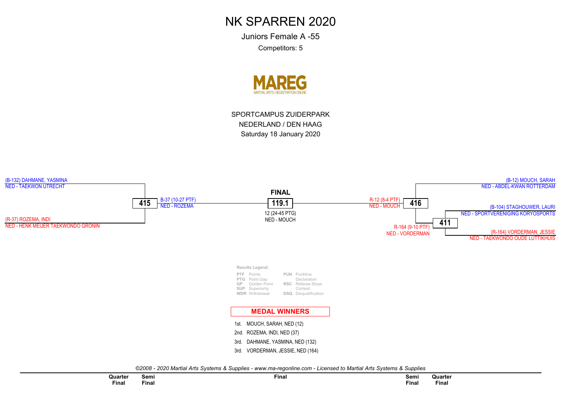Juniors Female A -55Competitors: 5



SPORTCAMPUS ZUIDERPARKNEDERLAND / DEN HAAGSaturday 18 January 2020

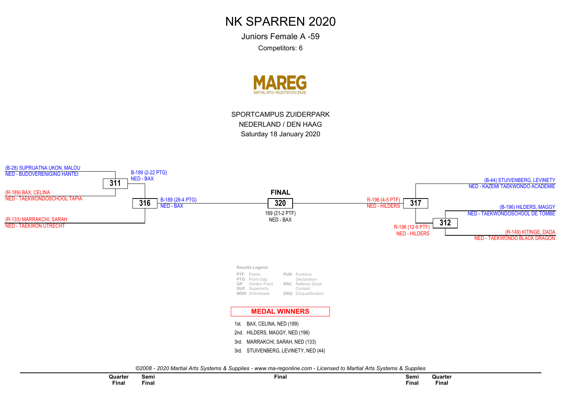Juniors Female A -59Competitors: 6



SPORTCAMPUS ZUIDERPARKNEDERLAND / DEN HAAGSaturday 18 January 2020

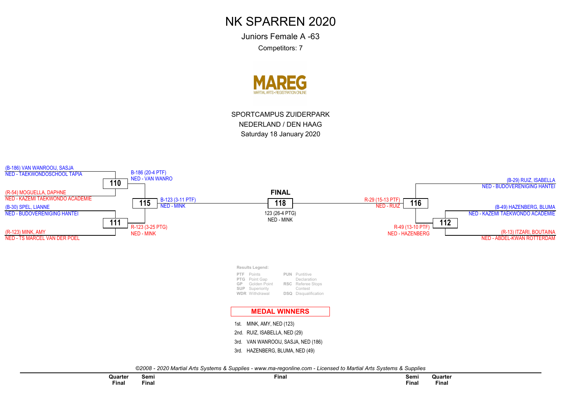Juniors Female A -63Competitors: 7



SPORTCAMPUS ZUIDERPARKNEDERLAND / DEN HAAGSaturday 18 January 2020

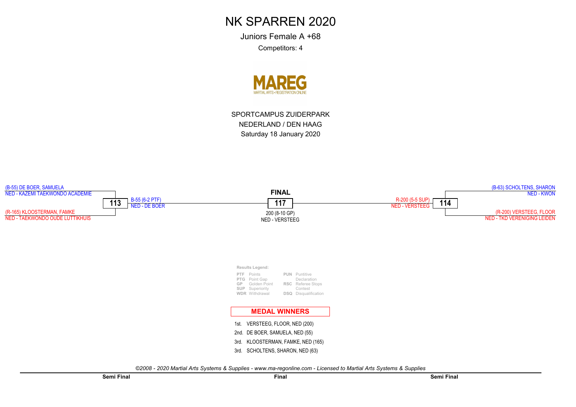Juniors Female A +68Competitors: 4

**MAREG** 

SPORTCAMPUS ZUIDERPARKNEDERLAND / DEN HAAGSaturday 18 January 2020

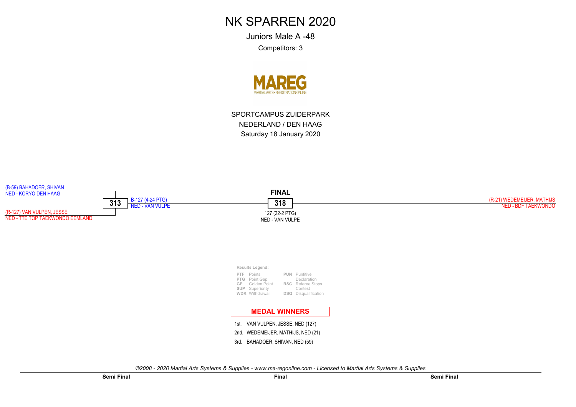Juniors Male A -48

Competitors: 3



SPORTCAMPUS ZUIDERPARKNEDERLAND / DEN HAAGSaturday 18 January 2020

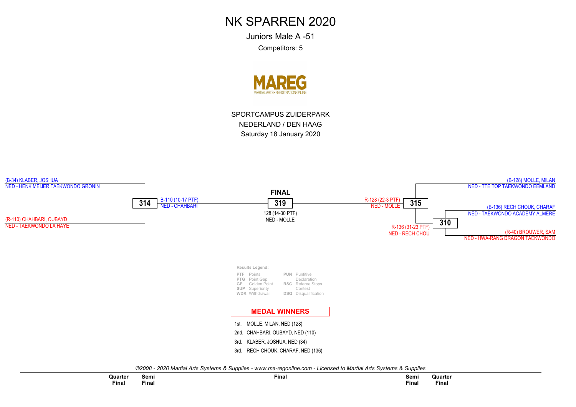Juniors Male A -51Competitors: 5



SPORTCAMPUS ZUIDERPARKNEDERLAND / DEN HAAGSaturday 18 January 2020

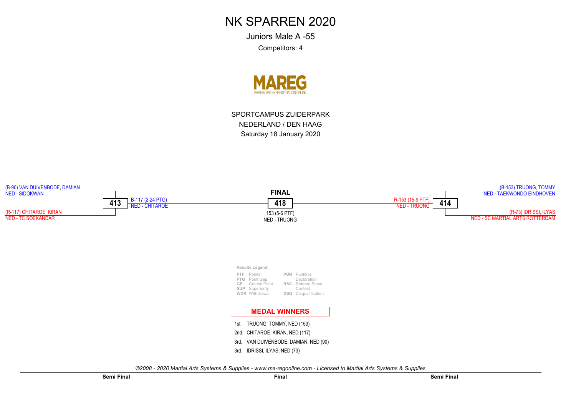Juniors Male A -55Competitors: 4



SPORTCAMPUS ZUIDERPARKNEDERLAND / DEN HAAGSaturday 18 January 2020

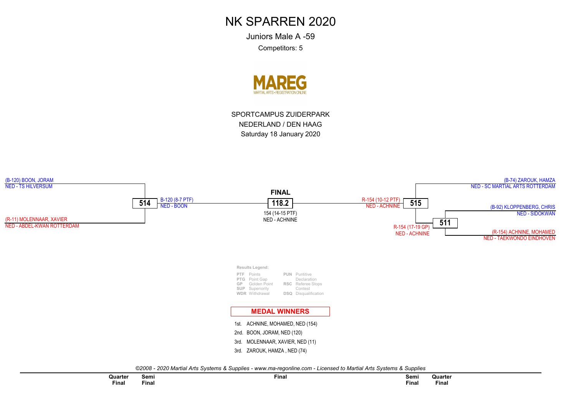Juniors Male A -59Competitors: 5



SPORTCAMPUS ZUIDERPARKNEDERLAND / DEN HAAGSaturday 18 January 2020

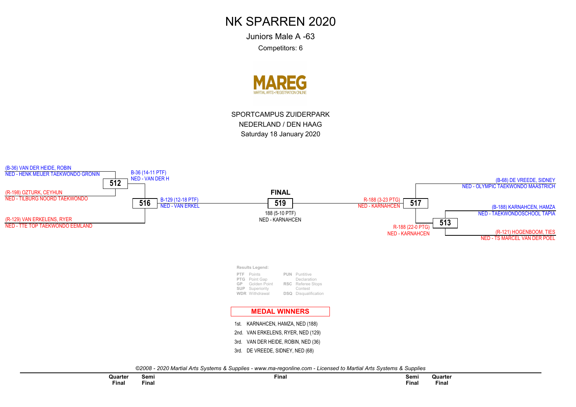Juniors Male A -63Competitors: 6



SPORTCAMPUS ZUIDERPARKNEDERLAND / DEN HAAGSaturday 18 January 2020

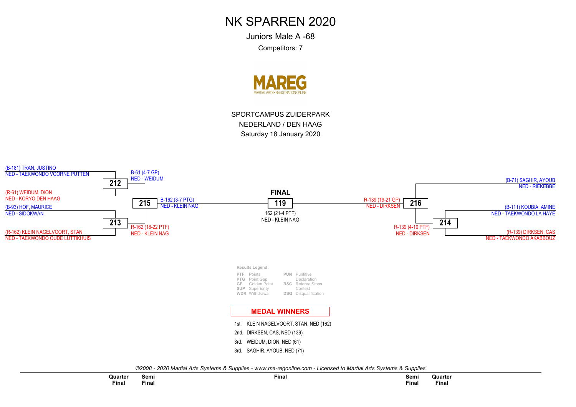Juniors Male A -68

Competitors: 7



SPORTCAMPUS ZUIDERPARKNEDERLAND / DEN HAAGSaturday 18 January 2020

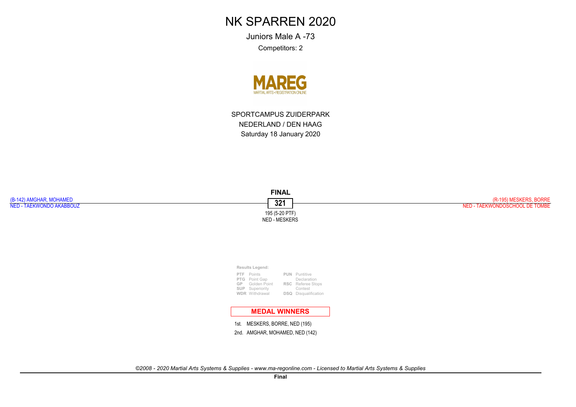Juniors Male A -73Competitors: 2



SPORTCAMPUS ZUIDERPARKNEDERLAND / DEN HAAGSaturday 18 January 2020

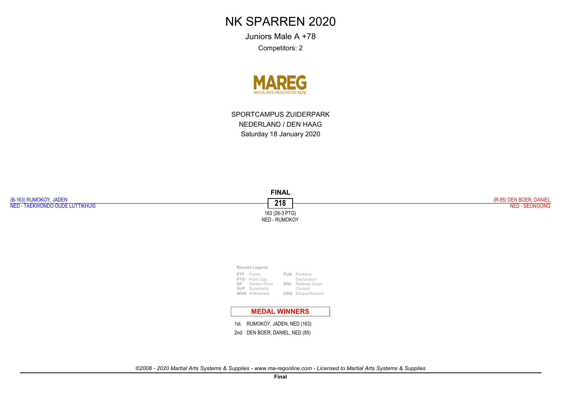Juniors Male A +78Competitors: 2



SPORTCAMPUS ZUIDERPARKNEDERLAND / DEN HAAGSaturday 18 January 2020

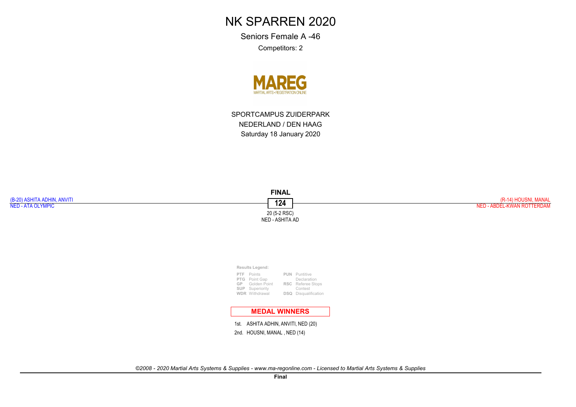Seniors Female A -46

Competitors: 2



SPORTCAMPUS ZUIDERPARKNEDERLAND / DEN HAAGSaturday 18 January 2020

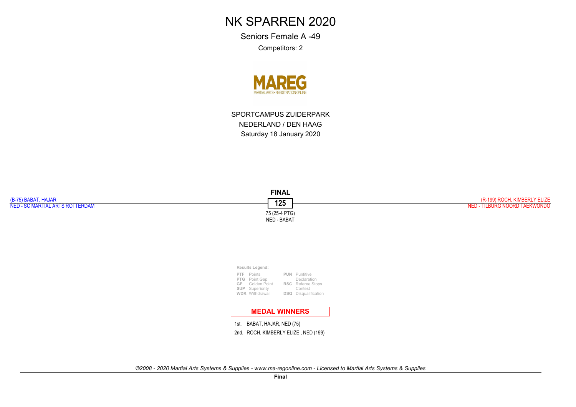Seniors Female A -49

Competitors: 2



SPORTCAMPUS ZUIDERPARKNEDERLAND / DEN HAAGSaturday 18 January 2020



2nd. ROCH, KIMBERLY ELIZE , NED (199)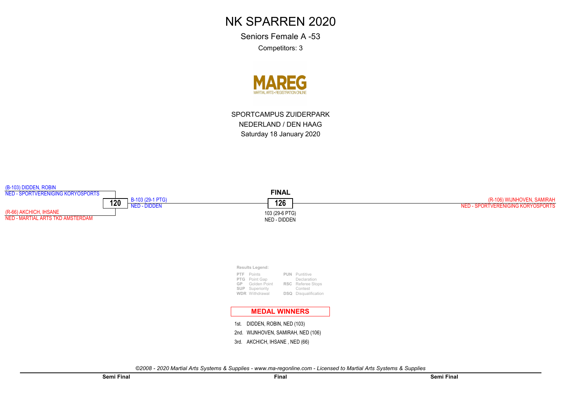Seniors Female A -53Competitors: 3



SPORTCAMPUS ZUIDERPARKNEDERLAND / DEN HAAGSaturday 18 January 2020

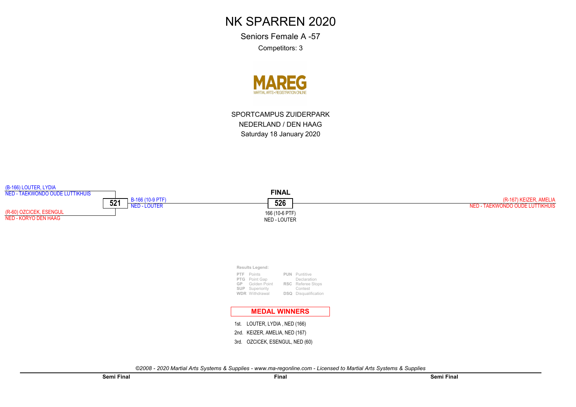Seniors Female A -57Competitors: 3



SPORTCAMPUS ZUIDERPARKNEDERLAND / DEN HAAGSaturday 18 January 2020

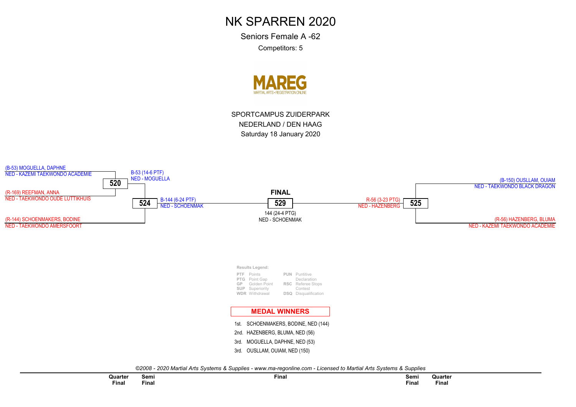Seniors Female A -62Competitors: 5



SPORTCAMPUS ZUIDERPARKNEDERLAND / DEN HAAGSaturday 18 January 2020

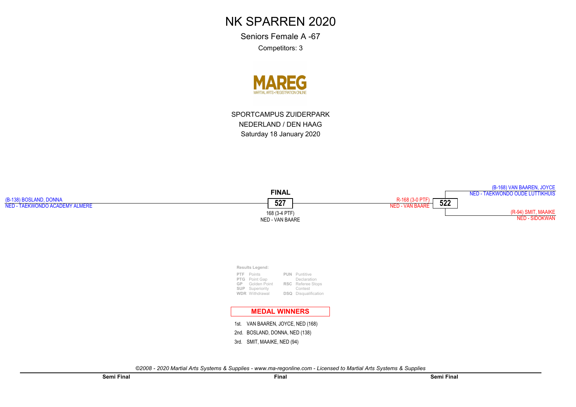Seniors Female A -67Competitors: 3

**MAREG** 

SPORTCAMPUS ZUIDERPARKNEDERLAND / DEN HAAGSaturday 18 January 2020

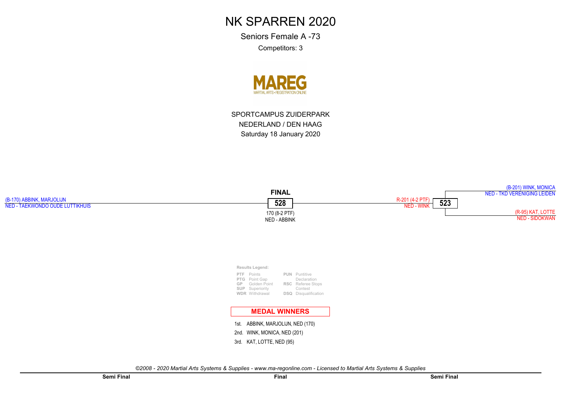Seniors Female A -73Competitors: 3



SPORTCAMPUS ZUIDERPARKNEDERLAND / DEN HAAGSaturday 18 January 2020

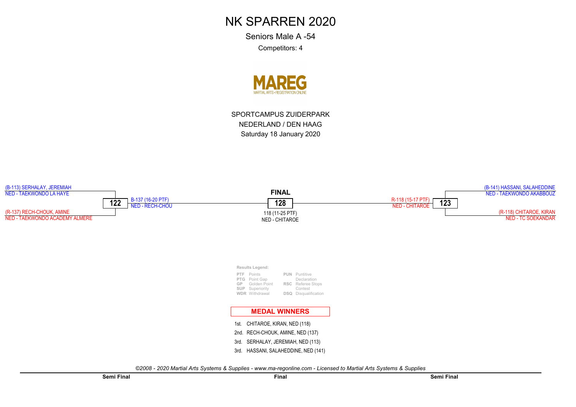Seniors Male A -54Competitors: 4



SPORTCAMPUS ZUIDERPARKNEDERLAND / DEN HAAGSaturday 18 January 2020

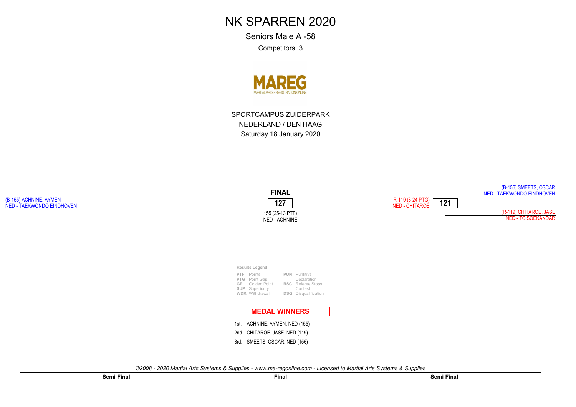Seniors Male A -58Competitors: 3



SPORTCAMPUS ZUIDERPARKNEDERLAND / DEN HAAGSaturday 18 January 2020

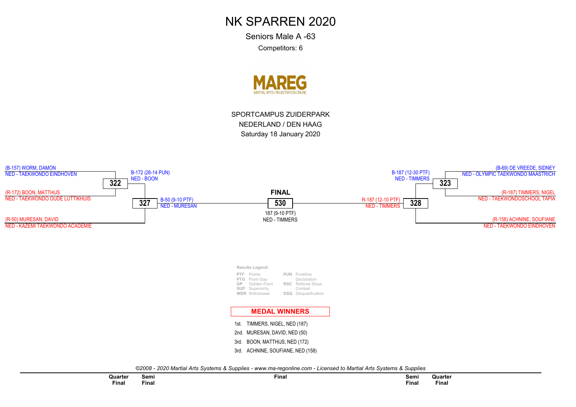Seniors Male A -63Competitors: 6



SPORTCAMPUS ZUIDERPARKNEDERLAND / DEN HAAGSaturday 18 January 2020

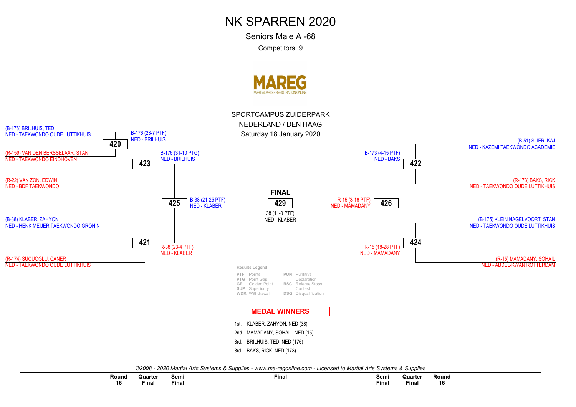Seniors Male A -68

Competitors: 9





| Round        | Quarter            | Semi         | Final | Semi  | Quarter  | Round        |  |
|--------------|--------------------|--------------|-------|-------|----------|--------------|--|
| 16<br>$\sim$ | $- \cdot$<br>Final | <b>Final</b> |       | Final | $F$ inal | 16<br>$\sim$ |  |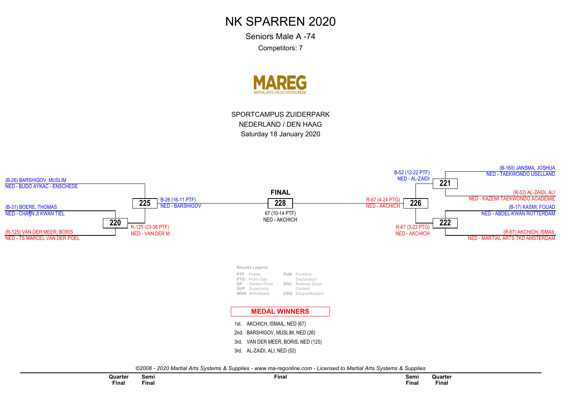Seniors Male A -74Competitors: 7



SPORTCAMPUS ZUIDERPARKNEDERLAND / DEN HAAGSaturday 18 January 2020

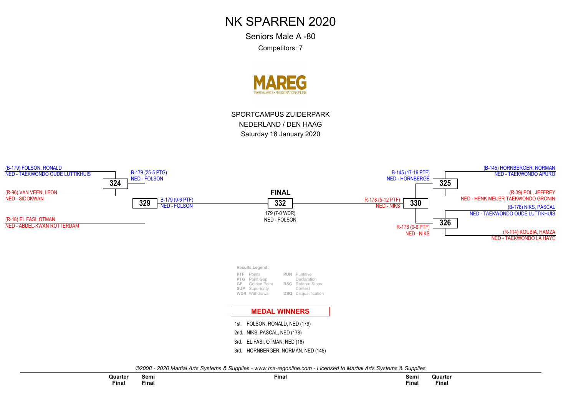Seniors Male A -80Competitors: 7



SPORTCAMPUS ZUIDERPARKNEDERLAND / DEN HAAGSaturday 18 January 2020

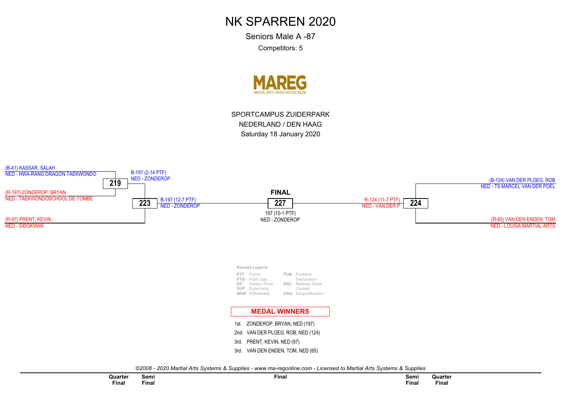Seniors Male A -87Competitors: 5



SPORTCAMPUS ZUIDERPARKNEDERLAND / DEN HAAGSaturday 18 January 2020

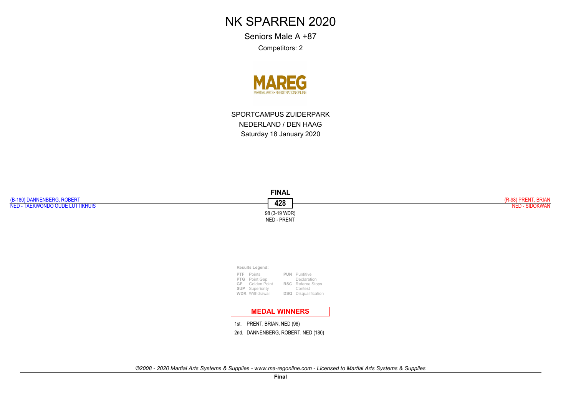Seniors Male A +87

Competitors: 2



SPORTCAMPUS ZUIDERPARKNEDERLAND / DEN HAAGSaturday 18 January 2020